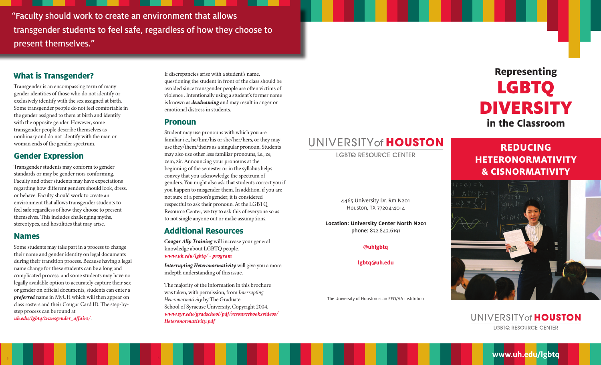"Faculty should work to create an environment that allows transgender students to feel safe, regardless of how they choose to present themselves."

## **What is Transgender?**

Transgender is an encompassing term of many gender identities of those who do not identify or exclusively identify with the sex assigned at birth. Some transgender people do not feel comfortable in the gender assigned to them at birth and identify with the opposite gender. However, some transgender people describe themselves as nonbinary and do not identify with the man or woman ends of the gender spectrum.

## **Gender Expression**

Transgender students may conform to gender standards or may be gender non-conforming. Faculty and other students may have expectations regarding how different genders should look, dress, or behave. Faculty should work to create an environment that allows transgender students to feel safe regardless of how they choose to present themselves. This includes challenging myths, stereotypes, and hostilities that may arise.

## **Names**

Some students may take part in a process to change their name and gender identity on legal documents during their transition process. Because having a legal name change for these students can be a long and complicated process, and some students may have no legally available option to accurately capture their sex or gender on official documents, students can enter a *preferred* name in MyUH which will then appear on class rosters and their Cougar Card ID. The step-bystep process can be found at *uh.edu/lgbtq/transgender\_affairs/*.

If discrepancies arise with a student's name, questioning the student in front of the class should be avoided since transgender people are often victims of violence . Intentionally using a student's former name is known as *deadnaming* and may result in anger or emotional distress in students.

### **Pronoun**

Student may use pronouns with which you are familiar i.e., he/him/his or she/her/hers, or they may use they/them/theirs as a singular pronoun. Students may also use other less familiar pronouns, i.e., ze, zem, zir. Announcing your pronouns at the beginning of the semester or in the syllabus helps convey that you acknowledge the spectrum of genders. You might also ask that students correct you if you happen to misgender them. In addition, if you are not sure of a person's gender, it is considered respectful to ask their pronoun. At the LGBTQ Resource Center, we try to ask this of everyone so as to not single anyone out or make assumptions.

## **Additional Resources**

*Cougar Ally Training* will increase your general knowledge about LGBTQ people. *www.uh.edu/lgbtq/ - program*

*Interrupting Heteronormativity* will give you a more indepth understanding of this issue.

The majority of the information in this brochure was taken, with permission, from *Interrupting Heteronormativity* by The Graduate School of Syracuse University, Copyright 2004. *www.syr.edu/gradschool/pdf/resourcebooksvideos/ Heteronormativity.pdf*

## UNIVERSITY of HOUSTON

**LGBTQ RESOURCE CENTER** 

# **Representing**  LGBTQ DIVERSITY **in the Classroom**

## **REDUCING HETERONORMATIVITY & CISNORMATIVITY**

4465 University Dr. Rm N201 Houston, TX 77204-4014

**Location: University Center North N201** phone: 832.842.6191

**@uhlgbtq**

**lgbtq@uh.edu**

The University of Houston is an EEO/AA institution

## UNIVERSITY of HOUSTON **LGBTQ RESOURCE CENTER**